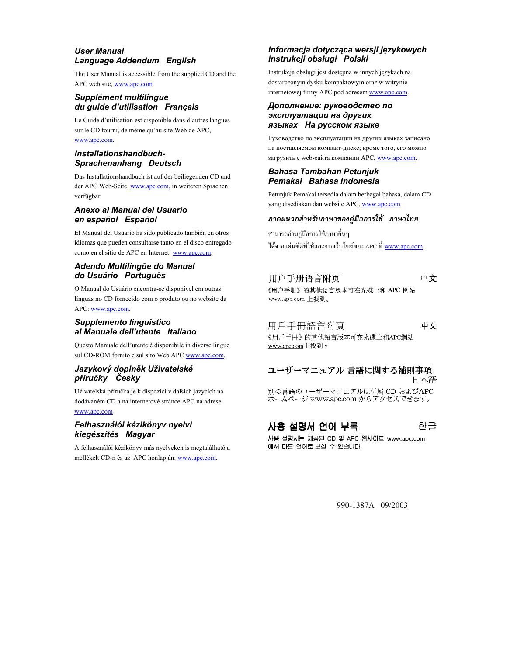#### *User Manual Language Addendum English*

The User Manual is accessible from the supplied CD and the APC web site, www.apc.com.

#### *Supplément multilingue du guide d'utilisation Français*

Le Guide d'utilisation est disponible dans d'autres langues sur le CD fourni, de même qu'au site Web de APC, www.apc.com.

#### *Installationshandbuch-Sprachenanhang Deutsch*

Das Installationshandbuch ist auf der beiliegenden CD und der APC Web-Seite, www.apc.com, in weiteren Sprachen verfügbar.

#### *Anexo al Manual del Usuario en español Español*

El Manual del Usuario ha sido publicado también en otros idiomas que pueden consultarse tanto en el disco entregado como en el sitio de APC en Internet: www.apc.com.

#### *Adendo Multilíngüe do Manual do Usuário Português*

O Manual do Usuário encontra-se disponível em outras línguas no CD fornecido com o produto ou no website da APC: www.apc.com.

#### *Supplemento linguistico al Manuale dell'utente Italiano*

Questo Manuale dell'utente è disponibile in diverse lingue sul CD-ROM fornito e sul sito Web APC www.apc.com.

#### *Jazykový doplněk Uživatelské příručky Česky*

Uživatelská příručka je k dispozici v dalších jazycích na dodávaném CD a na internetové stránce APC na adrese www.apc.com

#### *Felhasználói kézikönyv nyelvi kiegészítés Magyar*

A felhasználói kézikönyv más nyelveken is megtalálható a mellékelt CD-n és az APC honlapján: www.apc.com.

### *Informacja dotycząca wersji językowych instrukcji obsługi Polski*

Instrukcja obsługi jest dostępna w innych językach na dostarczonym dysku kompaktowym oraz w witrynie internetowej firmy APC pod adresem www.apc.com.

#### *Дополнение: руководство по эксплуатации на других языках На русском языке*

Руководство по эксплуатации на других языках записано на поставляемом компакт-диске; кроме того, его можно загрузить с web-сайта компании APC, www.apc.com.

#### *Bahasa Tambahan Petunjuk Pemakai Bahasa Indonesia*

Petunjuk Pemakai tersedia dalam berbagai bahasa, dalam CD yang disediakan dan website APC, www.apc.com.

#### *ภาคผนวกสําหรบภาษาของค ั มู ือการใช ภาษาไทย*

สามารถอานคูมือการใชภาษาอื่นๆ ได้จากแผ่นซีดีที่ให้และจากเว็บไซต์ของ APC ที่ <u>www.apc.com</u>.

#### 用户手册语言附页 中文

《用户手册》的其他语言版本可在光碟上和 APC 网站 www.apc.com 上找到。

### 用戶手冊語言附頁

中文

《用戶手冊》的其他語言版本可在光碟上和APC網站 www.apc.com上找到。

#### ユーザーマニュアル 言語に関する補則事項 日本語

別の言語のユーザーマニュアルは付属 CD およびAPC ホームページ <u>www.apc.com</u> からアクセスできます。

#### 사용 설명서 언어 부록 한글

사용 설명서는 제공된 CD 및 APC 웹사이트 www.apc.com 에서 다른 언어로 보실 수 있습니다.

990-1387A 09/2003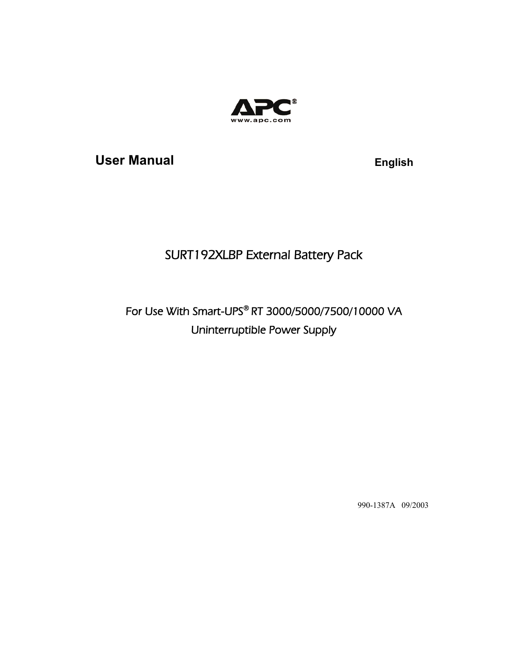

User Manual **English** 

# SURT192XLBP External Battery Pack

# For Use With Smart-UPS® RT 3000/5000/7500/10000 VA Uninterruptible Power Supply

990-1387A 09/2003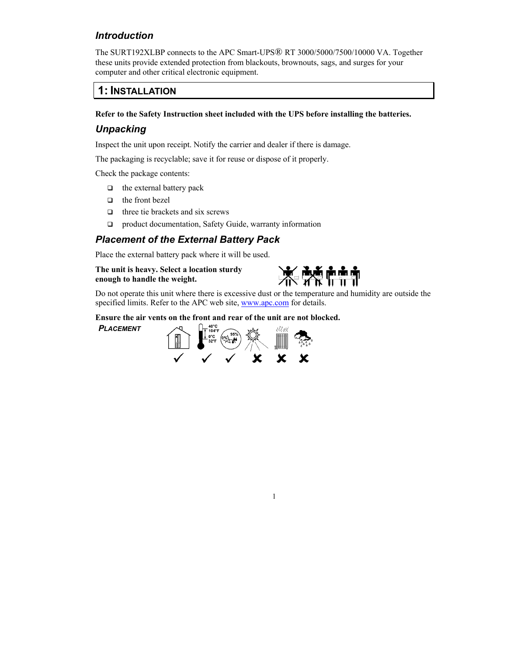### *Introduction*

The SURT192XLBP connects to the APC Smart-UPS® RT 3000/5000/7500/10000 VA. Together these units provide extended protection from blackouts, brownouts, sags, and surges for your computer and other critical electronic equipment.

### **1: INSTALLATION**

#### **Refer to the Safety Instruction sheet included with the UPS before installing the batteries.**

### *Unpacking*

Inspect the unit upon receipt. Notify the carrier and dealer if there is damage.

The packaging is recyclable; save it for reuse or dispose of it properly.

Check the package contents:

- $\Box$  the external battery pack
- $\Box$  the front bezel
- $\Box$  three tie brackets and six screws
- □ product documentation, Safety Guide, warranty information

### *Placement of the External Battery Pack*

Place the external battery pack where it will be used.

#### **The unit is heavy. Select a location sturdy enough to handle the weight.**



Do not operate this unit where there is excessive dust or the temperature and humidity are outside the specified limits. Refer to the APC web site, www.apc.com for details.

1

#### **Ensure the air vents on the front and rear of the unit are not blocked.**

*PLACEMENT*

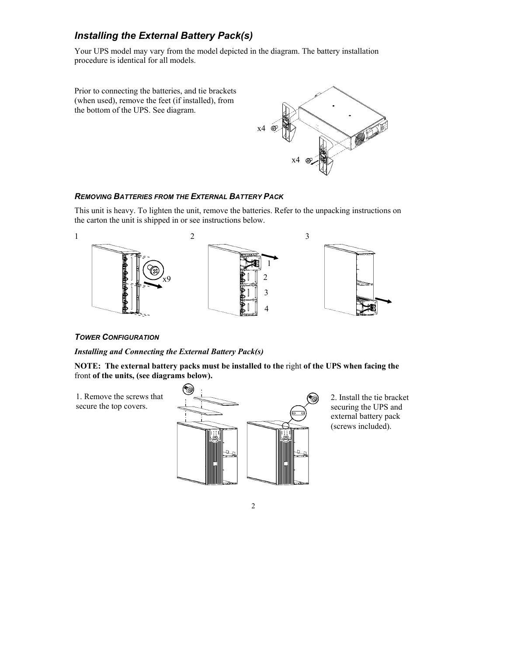## *Installing the External Battery Pack(s)*

Your UPS model may vary from the model depicted in the diagram. The battery installation procedure is identical for all models.

Prior to connecting the batteries, and tie brackets (when used), remove the feet (if installed), from the bottom of the UPS. See diagram.  $x4 \otimes$ x4

#### *REMOVING BATTERIES FROM THE EXTERNAL BATTERY PACK*

This unit is heavy. To lighten the unit, remove the batteries. Refer to the unpacking instructions on the carton the unit is shipped in or see instructions below.



#### *TOWER CONFIGURATION*

#### *Installing and Connecting the External Battery Pack(s)*

**NOTE: The external battery packs must be installed to the** right **of the UPS when facing the**  front **of the units, (see diagrams below).** 

1. Remove the screws that secure the top covers.



2. Install the tie bracket securing the UPS and external battery pack (screws included).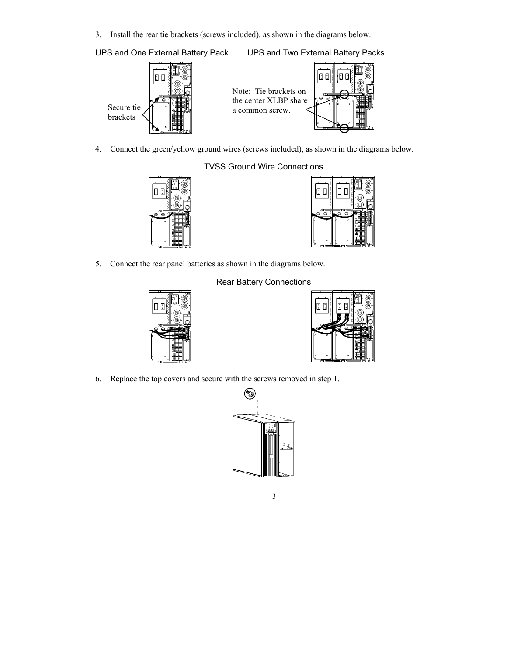3. Install the rear tie brackets (screws included), as shown in the diagrams below.

UPS and One External Battery Pack UPS and Two External Battery Packs







4. Connect the green/yellow ground wires (screws included), as shown in the diagrams below.

### TVSS Ground Wire Connections





5. Connect the rear panel batteries as shown in the diagrams below.



### Rear Battery Connections



6. Replace the top covers and secure with the screws removed in step 1.

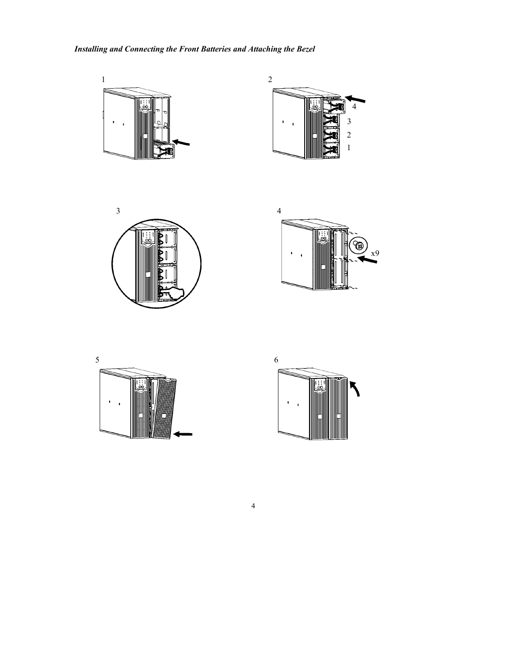### *Installing and Connecting the Front Batteries and Attaching the Bezel*











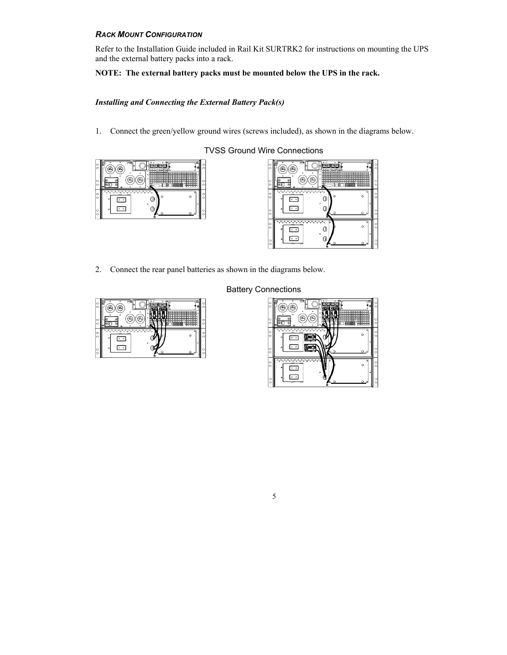#### *RACK MOUNT CONFIGURATION*

Refer to the Installation Guide included in Rail Kit SURTRK2 for instructions on mounting the UPS and the external battery packs into a rack.

#### **NOTE: The external battery packs must be mounted below the UPS in the rack.**

#### *Installing and Connecting the External Battery Pack(s)*

1. Connect the green/yellow ground wires (screws included), as shown in the diagrams below.





2. Connect the rear panel batteries as shown in the diagrams below.



#### Battery Connections

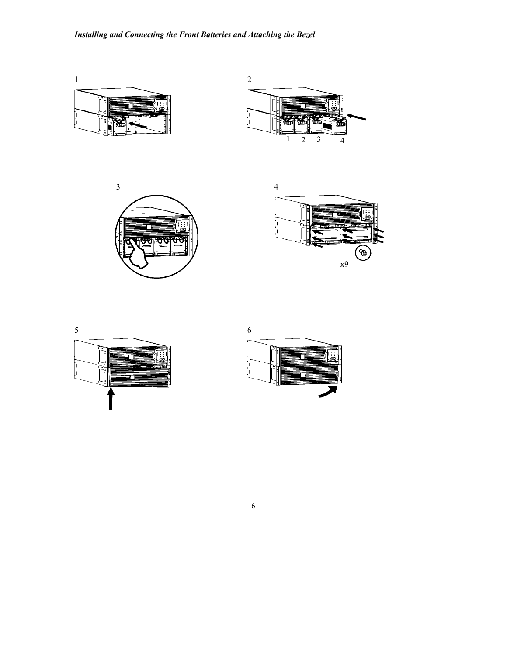









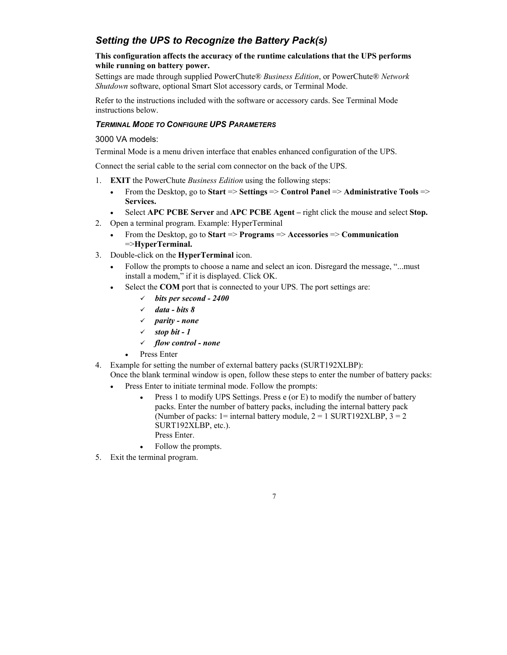### *Setting the UPS to Recognize the Battery Pack(s)*

#### **This configuration affects the accuracy of the runtime calculations that the UPS performs while running on battery power.**

Settings are made through supplied PowerChute® *Business Edition*, or PowerChute® *Network Shutdown* software, optional Smart Slot accessory cards, or Terminal Mode.

Refer to the instructions included with the software or accessory cards. See Terminal Mode instructions below.

#### *TERMINAL MODE TO CONFIGURE UPS PARAMETERS*

#### 3000 VA models:

Terminal Mode is a menu driven interface that enables enhanced configuration of the UPS.

Connect the serial cable to the serial com connector on the back of the UPS.

- 1. **EXIT** the PowerChute *Business Edition* using the following steps:
	- From the Desktop, go to **Start** => **Settings** => **Control Panel** => **Administrative Tools** => **Services.**
	- Select **APC PCBE Server** and **APC PCBE Agent** right click the mouse and select **Stop.**
- 2. Open a terminal program. Example: HyperTerminal
	- From the Desktop, go to **Start** => **Programs** => **Accessories** => **Communication** =>**HyperTerminal.**
- 3. Double-click on the **HyperTerminal** icon.
	- Follow the prompts to choose a name and select an icon. Disregard the message, "...must install a modem," if it is displayed. Click OK.
		- Select the **COM** port that is connected to your UPS. The port settings are:
			- 9 *bits per second 2400*
			- 9 *data bits 8*
			- 9 *parity none*
			- 9 *stop bit 1*
			- 9 *flow control none*
			- Press Enter
- 4. Example for setting the number of external battery packs (SURT192XLBP):

Once the blank terminal window is open, follow these steps to enter the number of battery packs: • Press Enter to initiate terminal mode. Follow the prompts:

> • Press 1 to modify UPS Settings. Press e (or E) to modify the number of battery packs. Enter the number of battery packs, including the internal battery pack (Number of packs: 1= internal battery module,  $2 = 1$  SURT192XLBP,  $3 = 2$ SURT192XLBP, etc.).

- Press Enter.
- Follow the prompts.
- 5. Exit the terminal program.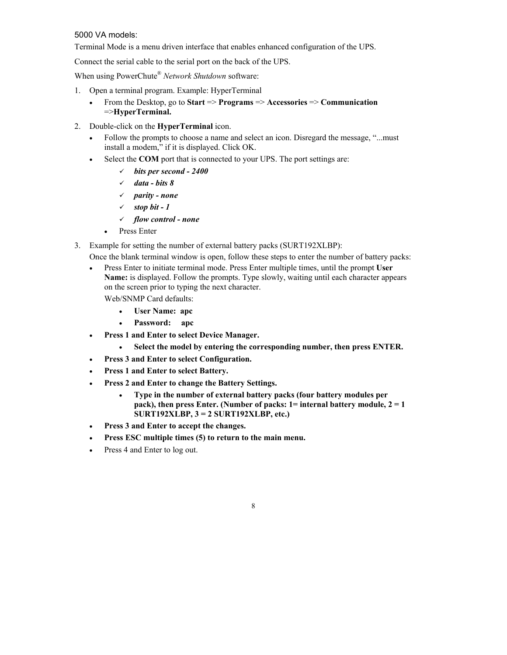#### 5000 VA models:

Terminal Mode is a menu driven interface that enables enhanced configuration of the UPS.

Connect the serial cable to the serial port on the back of the UPS.

When using PowerChute® *Network Shutdown* software:

- 1. Open a terminal program. Example: HyperTerminal
	- From the Desktop, go to **Start** => **Programs** => **Accessories** => **Communication** =>**HyperTerminal.**
- 2. Double-click on the **HyperTerminal** icon.
	- Follow the prompts to choose a name and select an icon. Disregard the message, "...must install a modem," if it is displayed. Click OK.
	- Select the **COM** port that is connected to your UPS. The port settings are:
		- 9 *bits per second 2400*
		- 9 *data bits 8*
		- 9 *parity none*
		- $\checkmark$  stop bit 1
		- 9 *flow control none*
		- Press Enter
- 3. Example for setting the number of external battery packs (SURT192XLBP):
	- Once the blank terminal window is open, follow these steps to enter the number of battery packs:
	- Press Enter to initiate terminal mode. Press Enter multiple times, until the prompt **User Name:** is displayed. Follow the prompts. Type slowly, waiting until each character appears on the screen prior to typing the next character. Web/SNMP Card defaults:
		- **User Name: apc** 
			- **Password: apc**
	- **Press 1 and Enter to select Device Manager.** 
		- **Select the model by entering the corresponding number, then press ENTER.**
	- **Press 3 and Enter to select Configuration.**
	- **Press 1 and Enter to select Battery.**
	- **Press 2 and Enter to change the Battery Settings.** 
		- **Type in the number of external battery packs (four battery modules per pack), then press Enter. (Number of packs: 1= internal battery module, 2 = 1 SURT192XLBP, 3 = 2 SURT192XLBP, etc.)**

- **Press 3 and Enter to accept the changes.**
- **Press ESC multiple times (5) to return to the main menu.**
- Press 4 and Enter to log out.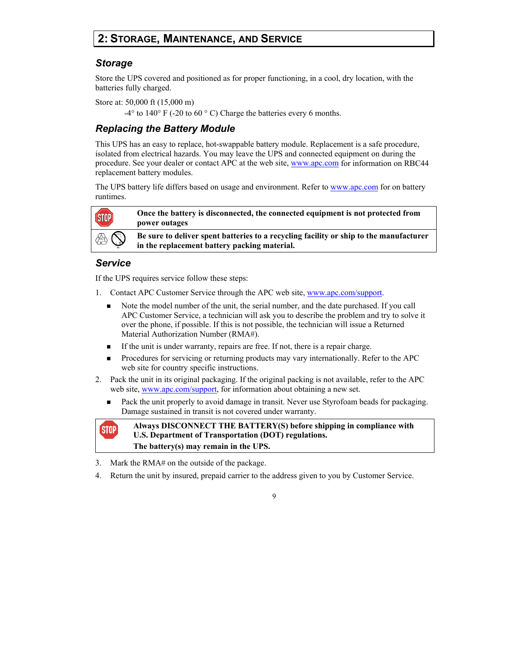# **2: STORAGE, MAINTENANCE, AND SERVICE**

### *Storage*

Store the UPS covered and positioned as for proper functioning, in a cool, dry location, with the batteries fully charged.

Store at: 50,000 ft (15,000 m)

 $-4^{\circ}$  to  $140^{\circ}$  F ( $-20$  to  $60^{\circ}$  C) Charge the batteries every 6 months.

### *Replacing the Battery Module*

This UPS has an easy to replace, hot-swappable battery module. Replacement is a safe procedure, isolated from electrical hazards. You may leave the UPS and connected equipment on during the procedure. See your dealer or contact APC at the web site, www.apc.com for information on RBC44 replacement battery modules.

The UPS battery life differs based on usage and environment. Refer to www.apc.com for on battery runtimes.



**Once the battery is disconnected, the connected equipment is not protected from power outages** 

**Be sure to deliver spent batteries to a recycling facility or ship to the manufacturer in the replacement battery packing material.** 

### *Service*

If the UPS requires service follow these steps:

- 1. Contact APC Customer Service through the APC web site, www.apc.com/support.
	- Note the model number of the unit, the serial number, and the date purchased. If you call APC Customer Service, a technician will ask you to describe the problem and try to solve it over the phone, if possible. If this is not possible, the technician will issue a Returned Material Authorization Number (RMA#).
	- If the unit is under warranty, repairs are free. If not, there is a repair charge.
	- Procedures for servicing or returning products may vary internationally. Refer to the APC web site for country specific instructions.
- 2. Pack the unit in its original packaging. If the original packing is not available, refer to the APC web site, www.apc.com/support, for information about obtaining a new set.
	- Pack the unit properly to avoid damage in transit. Never use Styrofoam beads for packaging. Damage sustained in transit is not covered under warranty.



**Always DISCONNECT THE BATTERY(S) before shipping in compliance with U.S. Department of Transportation (DOT) regulations. The battery(s) may remain in the UPS.** 

- 3. Mark the RMA# on the outside of the package.
- 4. Return the unit by insured, prepaid carrier to the address given to you by Customer Service.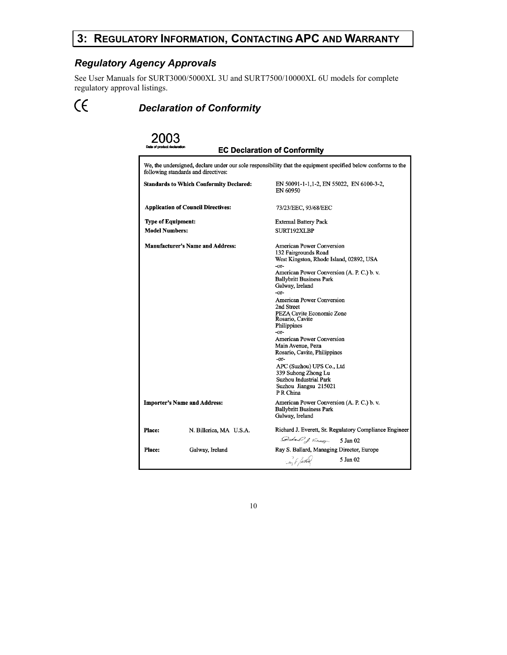# **3: REGULATORY INFORMATION, CONTACTING APC AND WARRANTY**

### *Regulatory Agency Approvals*

 $\epsilon$ 

See User Manuals for SURT3000/5000XL 3U and SURT7500/10000XL 6U models for complete regulatory approval listings.

*Declaration of Conformity* 

#### 2003 **EC Declaration of Conformity** We, the undersigned, declare under our sole responsibility that the equipment specified below conforms to the following standards and directives: **Standards to Which Conformity Declared:** EN 50091-1-1,1-2, EN 55022, EN 6100-3-2, EN 60950 **Application of Council Directives:** 73/23/EEC, 93/68/EEC **Type of Equipment: External Battery Pack Model Numbers:** SURT192XLBP **Manufacturer's Name and Address:** American Power Conversion 132 Fairgrounds Road West Kingston, Rhode Island, 02892, USA -or-American Power Conversion (A. P. C.) b. v. **Ballybritt Business Park** Galway, Ireland -or-American Power Conversion 2nd Street PEZA Cavite Economic Zone<br>Rosario, Cavite Philippines -or-**American Power Conversion** Main Avenue, Peza Rosario, Cavite, Philippines  $-0r-$ APC (Suzhou) UPS Co., Ltd 339 Suhong Zhong Lu Suzhou Industrial Park Suzhou Jiangsu 215021 PR China **Importer's Name and Address:** American Power Conversion (A. P. C.) b. v. **Ballybritt Business Park** Galway, Ireland Richard J. Everett, Sr. Regulatory Compliance Engineer Place: N. Billerica, MA U.S.A. Distant J. Energy 5 Jan 02 Place: Galway, Ireland Ray S. Ballard, Managing Director, Europe Say of father  $5$  Jan $02$